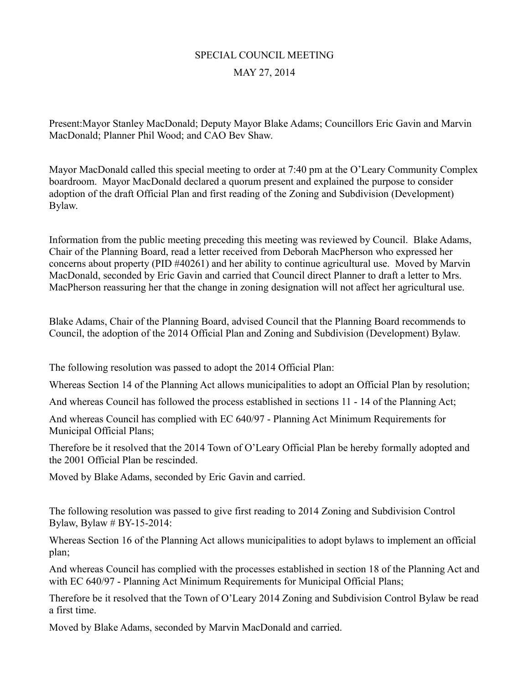## SPECIAL COUNCIL MEETING MAY 27, 2014

Present:Mayor Stanley MacDonald; Deputy Mayor Blake Adams; Councillors Eric Gavin and Marvin MacDonald; Planner Phil Wood; and CAO Bev Shaw.

Mayor MacDonald called this special meeting to order at 7:40 pm at the O'Leary Community Complex boardroom. Mayor MacDonald declared a quorum present and explained the purpose to consider adoption of the draft Official Plan and first reading of the Zoning and Subdivision (Development) Bylaw.

Information from the public meeting preceding this meeting was reviewed by Council. Blake Adams, Chair of the Planning Board, read a letter received from Deborah MacPherson who expressed her concerns about property (PID #40261) and her ability to continue agricultural use. Moved by Marvin MacDonald, seconded by Eric Gavin and carried that Council direct Planner to draft a letter to Mrs. MacPherson reassuring her that the change in zoning designation will not affect her agricultural use.

Blake Adams, Chair of the Planning Board, advised Council that the Planning Board recommends to Council, the adoption of the 2014 Official Plan and Zoning and Subdivision (Development) Bylaw.

The following resolution was passed to adopt the 2014 Official Plan:

Whereas Section 14 of the Planning Act allows municipalities to adopt an Official Plan by resolution;

And whereas Council has followed the process established in sections 11 - 14 of the Planning Act;

And whereas Council has complied with EC 640/97 - Planning Act Minimum Requirements for Municipal Official Plans;

Therefore be it resolved that the 2014 Town of O'Leary Official Plan be hereby formally adopted and the 2001 Official Plan be rescinded.

Moved by Blake Adams, seconded by Eric Gavin and carried.

The following resolution was passed to give first reading to 2014 Zoning and Subdivision Control Bylaw, Bylaw # BY-15-2014:

Whereas Section 16 of the Planning Act allows municipalities to adopt bylaws to implement an official plan;

And whereas Council has complied with the processes established in section 18 of the Planning Act and with EC 640/97 - Planning Act Minimum Requirements for Municipal Official Plans;

Therefore be it resolved that the Town of O'Leary 2014 Zoning and Subdivision Control Bylaw be read a first time.

Moved by Blake Adams, seconded by Marvin MacDonald and carried.